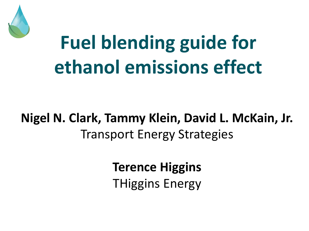

# **Fuel blending guide for ethanol emissions effect**

## **Nigel N. Clark, Tammy Klein, David L. McKain, Jr.** Transport Energy Strategies

**Terence Higgins** THiggins Energy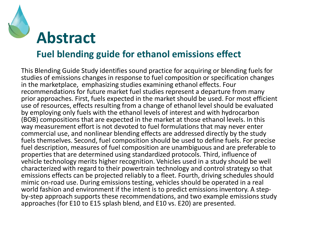

## **Fuel blending guide for ethanol emissions effect**

This Blending Guide Study identifies sound practice for acquiring or blending fuels for studies of emissions changes in response to fuel composition or specification changes in the marketplace, emphasizing studies examining ethanol effects. Four recommendations for future market fuel studies represent a departure from many prior approaches. First, fuels expected in the market should be used. For most efficient use of resources, effects resulting from a change of ethanol level should be evaluated by employing only fuels with the ethanol levels of interest and with hydrocarbon (BOB) compositions that are expected in the market at those ethanol levels. In this way measurement effort is not devoted to fuel formulations that may never enter commercial use, and nonlinear blending effects are addressed directly by the study fuels themselves. Second, fuel composition should be used to define fuels. For precise fuel description, measures of fuel composition are unambiguous and are preferable to properties that are determined using standardized protocols. Third, influence of vehicle technology merits higher recognition. Vehicles used in a study should be well characterized with regard to their powertrain technology and control strategy so that emissions effects can be projected reliably to a fleet. Fourth, driving schedules should mimic on-road use. During emissions testing, vehicles should be operated in a real world fashion and environment if the intent is to predict emissions inventory. A stepby-step approach supports these recommendations, and two example emissions study approaches (for E10 to E15 splash blend, and E10 vs. E20) are presented.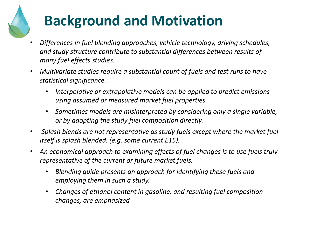# **Background and Motivation**

- *Differences in fuel blending approaches, vehicle technology, driving schedules, and study structure contribute to substantial differences between results of many fuel effects studies.*
- *Multivariate studies require a substantial count of fuels and test runs to have statistical significance.*
	- *Interpolative or extrapolative models can be applied to predict emissions using assumed or measured market fuel properties.*
	- *Sometimes models are misinterpreted by considering only a single variable, or by adopting the study fuel composition directly.*
- *Splash blends are not representative as study fuels except where the market fuel itself is splash blended. (e.g. some current E15).*
- *An economical approach to examining effects of fuel changes is to use fuels truly representative of the current or future market fuels.*
	- *Blending guide presents an approach for identifying these fuels and employing them in such a study.*
	- *Changes of ethanol content in gasoline, and resulting fuel composition changes, are emphasized*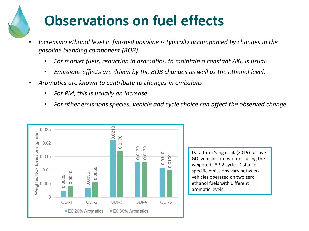## **Observations on fuel effects**

- *Increasing ethanol level in finished gasoline is typically accompanied by changes in the gasoline blending component (BOB).*
	- *For market fuels, reduction in aromatics, to maintain a constant AKI, is usual.*
	- *Emissions effects are driven by the BOB changes as well as the ethanol level.*
- *Aromatics are known to contribute to changes in emissions*
	- *For PM, this is usually an increase.*
	- *For other emissions species, vehicle and cycle choice can affect the observed change.*



Data from Yang et al. (2019) for five GDI vehicles on two fuels using the weighted LA-92 cycle. Distancespecific emissions vary between vehicles operated on two zero ethanol fuels with different aromatic levels.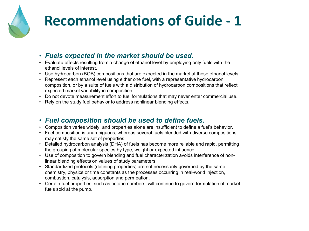

## **Recommendations of Guide - 1**

#### • *Fuels expected in the market should be used.*

- Evaluate effects resulting from a change of ethanol level by employing only fuels with the ethanol levels of interest.
- Use hydrocarbon (BOB) compositions that are expected in the market at those ethanol levels.
- Represent each ethanol level using either one fuel, with a representative hydrocarbon composition, or by a suite of fuels with a distribution of hydrocarbon compositions that reflect expected market variability in composition.
- Do not devote measurement effort to fuel formulations that may never enter commercial use.
- Rely on the study fuel behavior to address nonlinear blending effects.

#### • *Fuel composition should be used to define fuels.*

- Composition varies widely, and properties alone are insufficient to define a fuel's behavior.
- Fuel composition is unambiguous, whereas several fuels blended with diverse compositions may satisfy the same set of properties.
- Detailed hydrocarbon analysis (DHA) of fuels has become more reliable and rapid, permitting the grouping of molecular species by type, weight or expected influence.
- Use of composition to govern blending and fuel characterization avoids interference of nonlinear blending effects on values of study parameters.
- Standardized protocols (defining properties) are not necessarily governed by the same chemistry, physics or time constants as the processes occurring in real-world injection, combustion, catalysis, adsorption and permeation.
- Certain fuel properties, such as octane numbers, will continue to govern formulation of market fuels sold at the pump.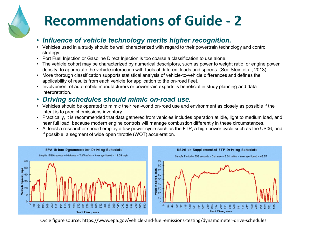## **Recommendations of Guide - 2**

#### • *Influence of vehicle technology merits higher recognition.*

- Vehicles used in a study should be well characterized with regard to their powertrain technology and control strategy.
- Port Fuel Injection or Gasoline Direct Injection is too coarse a classification to use alone.
- The vehicle cohort may be characterized by numerical descriptors, such as power to weight ratio, or engine power density, to appreciate the vehicle interaction with fuels at different loads and speeds. (See Stein et al, 2013)
- More thorough classification supports statistical analysis of vehicle-to-vehicle differences and defines the applicability of results from each vehicle for application to the on-road fleet.
- Involvement of automobile manufacturers or powertrain experts is beneficial in study planning and data interpretation.

#### • *Driving schedules should mimic on-road use.*

- Vehicles should be operated to mimic their real-world on-road use and environment as closely as possible if the intent is to predict emissions inventory.
- Practically, it is recommended that data gathered from vehicles includes operation at idle, light to medium load, and near full load, because modern engine controls will manage combustion differently in these circumstances.
- At least a researcher should employ a low power cycle such as the FTP, a high power cycle such as the US06, and, if possible, a segment of wide open throttle (WOT) acceleration.



Cycle figure source: https://www.epa.gov/vehicle-and-fuel-emissions-testing/dynamometer-drive-schedules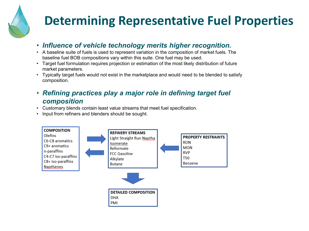## **Determining Representative Fuel Properties**

#### • *Influence of vehicle technology merits higher recognition.*

- A baseline suite of fuels is used to represent variation in the composition of market fuels. The baseline fuel BOB compositions vary within this suite. One fuel may be used.
- Target fuel formulation requires projection or estimation of the most likely distribution of future market parameters.
- Typically target fuels would not exist in the marketplace and would need to be blended to satisfy composition.
- *Refining practices play a major role in defining target fuel composition*
- Customary blends contain least value streams that meet fuel specification.
- Input from refiners and blenders should be sought.

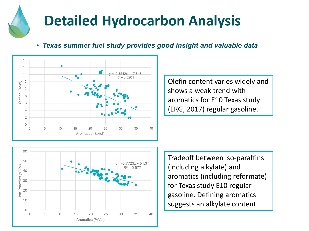## **Detailed Hydrocarbon Analysis**

• *Texas summer fuel study provides good insight and valuable data*



Olefin content varies widely and shows a weak trend with aromatics for E10 Texas study (ERG, 2017) regular gasoline.



Tradeoff between iso-paraffins (including alkylate) and aromatics (including reformate) for Texas study E10 regular gasoline. Defining aromatics suggests an alkylate content.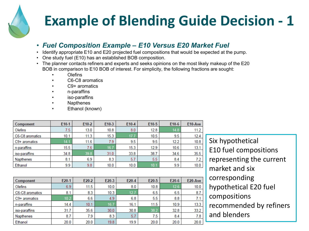

## **Example of Blending Guide Decision - 1**

#### • *Fuel Composition Example – E10 Versus E20 Market Fuel*

- Identify appropriate E10 and E20 projected fuel compositions that would be expected at the pump.
- One study fuel (E10) has an established BOB composition.
- The planner contacts refiners and experts and seeks opinions on the most likely makeup of the E20 BOB in comparison to E10 BOB of interest. For simplicity, the following fractions are sought:
	- Olefins
	- C6-C8 aromatics
	- C9+ aromatics
	- n-paraffins
	- iso-paraffins
	- **Napthenes**
	- Ethanol (known)

| Component       | E <sub>10-1</sub> | $E10-2$ | $E10-3$ | $E10-4$ | $E10-5$ | E <sub>10-6</sub> | E <sub>10</sub> -Ave |
|-----------------|-------------------|---------|---------|---------|---------|-------------------|----------------------|
| Olefins         | 7.5               | 13.0    | 10.8    | 8.0     | 12.8    | 14.8              | 11.2                 |
| C6-C8 aromatics | 10.1              | 11.3    | 15.3    | 17.7    | 10.5    | 9.5               | 12.4                 |
| C9+ aromatics   | 14.1              | 11.6    | 7.9     | 9.5     | 9.5     | 12.2              | 10.8                 |
| n-paraffins     | 15.5              | 7.6     | 16.7    | 15.3    | 12.9    | 10.6              | 13.1                 |
| iso-paraffins   | 34.8              | 39.8    | 31.0    | 33.8    | 38.7    | 34.6              | 35.5                 |
| Napthenes       | 8.1               | 6.9     | 8.3     | 5.7     | 5.5     | 8.4               | 7.2                  |
| Ethanol         | 9.9               | 9.8     | 10.0    | 10.0    | 10.1    | 9.9               | 10.0                 |
|                 |                   |         |         |         |         |                   |                      |

| Component       | $E20-1$ | $E20-2$ | $E20-3$ | $E20-4$ | $E20-5$ | $E20-6$ | E20-Ave |
|-----------------|---------|---------|---------|---------|---------|---------|---------|
| Olefins         | 6.9     | 11.5    | 10.0    | 8.0     | 10.8    | 12.6    | 10.0    |
| C6-C8 aromatics | 8.1     | 8.3     | 10.3    | 12.7    | 6.5     | 6.5     | 8.7     |
| C9+ aromatics   | 10.2    | 6.6     | 4.9     | 6.8     | 5.5     | 8.8     | 7.1     |
| n-paraffins     | 14.4    | 10.1    | 16.7    | 16.1    | 11.5    | 10.9    | 13.3    |
| iso-paraffins   | 31.7    | 35.6    | 30.0    | 30.8    | 38.2    | 32.8    | 33.2    |
| Napthenes       | 8.7     | 7.9     | 8.3     | 5.7     | 7.5     | 8.4     | 7.8     |
| Ethanol         | 20.0    | 20.0    | 19.8    | 19.9    | 20.0    | 20.0    | 20.0    |

Six hypothetical E10 fuel compositions representing the current market and six corresponding hypothetical E20 fuel compositions recommended by refiners and blenders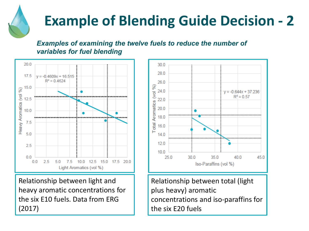

## **Example of Blending Guide Decision - 2**

### *Examples of examining the twelve fuels to reduce the number of variables for fuel blending*



Relationship between light and heavy aromatic concentrations for the six E10 fuels. Data from ERG (2017)



Relationship between total (light plus heavy) aromatic concentrations and iso-paraffins for the six E20 fuels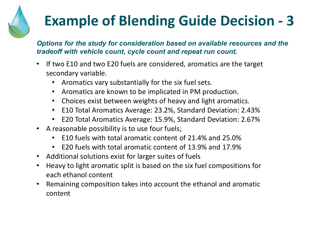# **Example of Blending Guide Decision - 3**

### *Options for the study for consideration based on available resources and the tradeoff with vehicle count, cycle count and repeat run count.*

- If two E10 and two E20 fuels are considered, aromatics are the target secondary variable.
	- Aromatics vary substantially for the six fuel sets.
	- Aromatics are known to be implicated in PM production.
	- Choices exist between weights of heavy and light aromatics.
	- E10 Total Aromatics Average: 23.2%, Standard Deviation: 2.43%
	- E20 Total Aromatics Average: 15.9%, Standard Deviation: 2.67%
- A reasonable possibility is to use four fuels;
	- E10 fuels with total aromatic content of 21.4% and 25.0%
	- E20 fuels with total aromatic content of 13.9% and 17.9%
- Additional solutions exist for larger suites of fuels
- Heavy to light aromatic split is based on the six fuel compositions for each ethanol content
- Remaining composition takes into account the ethanol and aromatic content